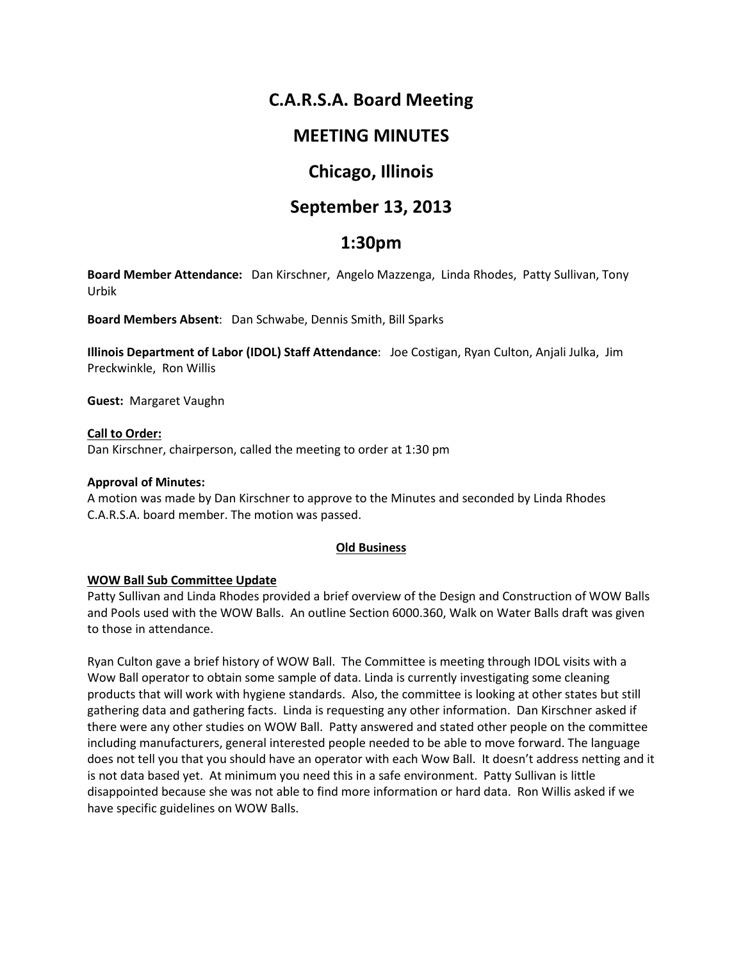# **C.A.R.S.A. Board Meeting**

# **MEETING MINUTES**

# **Chicago, Illinois**

# **September 13, 2013**

# **1:30pm**

**Board Member Attendance:** Dan Kirschner, Angelo Mazzenga, Linda Rhodes, Patty Sullivan, Tony Urbik

**Board Members Absent**: Dan Schwabe, Dennis Smith, Bill Sparks

**Illinois Department of Labor (IDOL) Staff Attendance**: Joe Costigan, Ryan Culton, Anjali Julka, Jim Preckwinkle, Ron Willis

**Guest:** Margaret Vaughn

**Call to Order:**  Dan Kirschner, chairperson, called the meeting to order at 1:30 pm

# **Approval of Minutes:**

A motion was made by Dan Kirschner to approve to the Minutes and seconded by Linda Rhodes C.A.R.S.A. board member. The motion was passed.

# **Old Business**

# **WOW Ball Sub Committee Update**

Patty Sullivan and Linda Rhodes provided a brief overview of the Design and Construction of WOW Balls and Pools used with the WOW Balls. An outline Section 6000.360, Walk on Water Balls draft was given to those in attendance.

Ryan Culton gave a brief history of WOW Ball. The Committee is meeting through IDOL visits with a Wow Ball operator to obtain some sample of data. Linda is currently investigating some cleaning products that will work with hygiene standards. Also, the committee is looking at other states but still gathering data and gathering facts. Linda is requesting any other information. Dan Kirschner asked if there were any other studies on WOW Ball. Patty answered and stated other people on the committee including manufacturers, general interested people needed to be able to move forward. The language does not tell you that you should have an operator with each Wow Ball. It doesn't address netting and it is not data based yet. At minimum you need this in a safe environment. Patty Sullivan is little disappointed because she was not able to find more information or hard data. Ron Willis asked if we have specific guidelines on WOW Balls.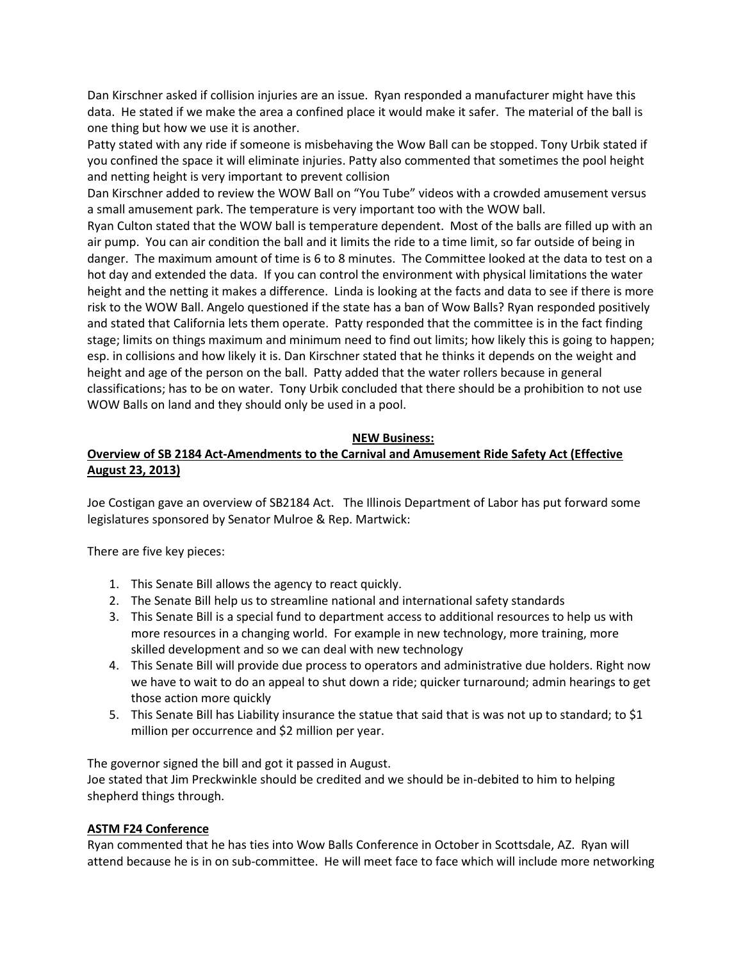Dan Kirschner asked if collision injuries are an issue. Ryan responded a manufacturer might have this data. He stated if we make the area a confined place it would make it safer. The material of the ball is one thing but how we use it is another.

Patty stated with any ride if someone is misbehaving the Wow Ball can be stopped. Tony Urbik stated if you confined the space it will eliminate injuries. Patty also commented that sometimes the pool height and netting height is very important to prevent collision

Dan Kirschner added to review the WOW Ball on "You Tube" videos with a crowded amusement versus a small amusement park. The temperature is very important too with the WOW ball.

Ryan Culton stated that the WOW ball is temperature dependent. Most of the balls are filled up with an air pump. You can air condition the ball and it limits the ride to a time limit, so far outside of being in danger. The maximum amount of time is 6 to 8 minutes. The Committee looked at the data to test on a hot day and extended the data. If you can control the environment with physical limitations the water height and the netting it makes a difference. Linda is looking at the facts and data to see if there is more risk to the WOW Ball. Angelo questioned if the state has a ban of Wow Balls? Ryan responded positively and stated that California lets them operate. Patty responded that the committee is in the fact finding stage; limits on things maximum and minimum need to find out limits; how likely this is going to happen; esp. in collisions and how likely it is. Dan Kirschner stated that he thinks it depends on the weight and height and age of the person on the ball. Patty added that the water rollers because in general classifications; has to be on water. Tony Urbik concluded that there should be a prohibition to not use WOW Balls on land and they should only be used in a pool.

# **NEW Business:**

# **Overview of SB 2184 Act-Amendments to the Carnival and Amusement Ride Safety Act (Effective August 23, 2013)**

Joe Costigan gave an overview of SB2184 Act. The Illinois Department of Labor has put forward some legislatures sponsored by Senator Mulroe & Rep. Martwick:

There are five key pieces:

- 1. This Senate Bill allows the agency to react quickly.
- 2. The Senate Bill help us to streamline national and international safety standards
- 3. This Senate Bill is a special fund to department access to additional resources to help us with more resources in a changing world. For example in new technology, more training, more skilled development and so we can deal with new technology
- 4. This Senate Bill will provide due process to operators and administrative due holders. Right now we have to wait to do an appeal to shut down a ride; quicker turnaround; admin hearings to get those action more quickly
- 5. This Senate Bill has Liability insurance the statue that said that is was not up to standard; to \$1 million per occurrence and \$2 million per year.

The governor signed the bill and got it passed in August. Joe stated that Jim Preckwinkle should be credited and we should be in-debited to him to helping shepherd things through.

# **ASTM F24 Conference**

Ryan commented that he has ties into Wow Balls Conference in October in Scottsdale, AZ. Ryan will attend because he is in on sub-committee. He will meet face to face which will include more networking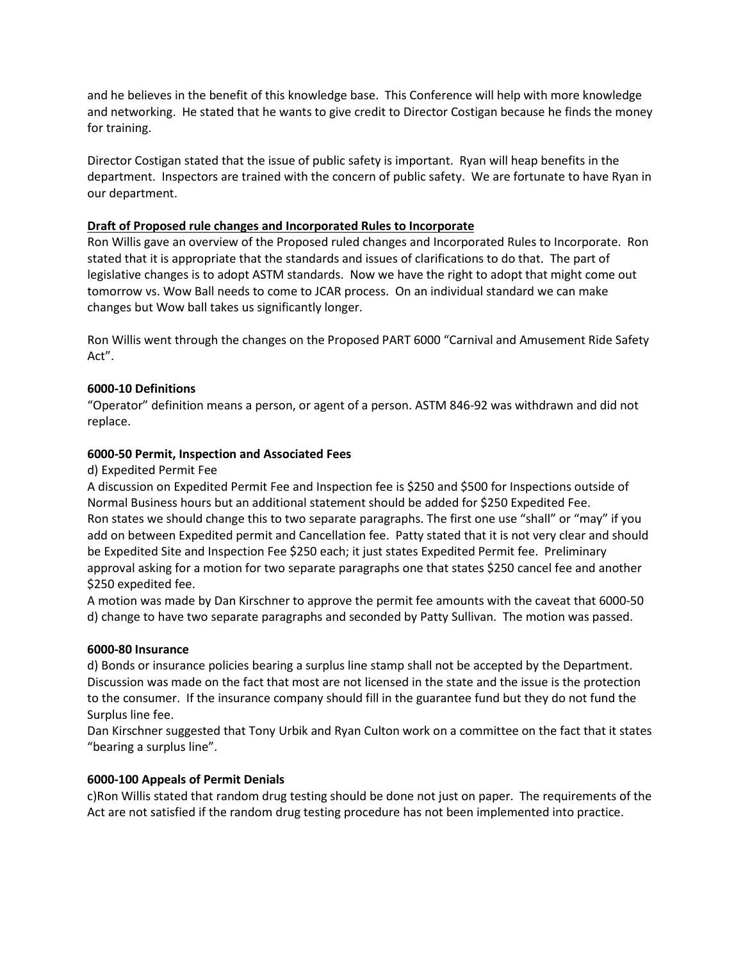and he believes in the benefit of this knowledge base. This Conference will help with more knowledge and networking. He stated that he wants to give credit to Director Costigan because he finds the money for training.

Director Costigan stated that the issue of public safety is important. Ryan will heap benefits in the department. Inspectors are trained with the concern of public safety. We are fortunate to have Ryan in our department.

# **Draft of Proposed rule changes and Incorporated Rules to Incorporate**

Ron Willis gave an overview of the Proposed ruled changes and Incorporated Rules to Incorporate. Ron stated that it is appropriate that the standards and issues of clarifications to do that. The part of legislative changes is to adopt ASTM standards. Now we have the right to adopt that might come out tomorrow vs. Wow Ball needs to come to JCAR process. On an individual standard we can make changes but Wow ball takes us significantly longer.

Ron Willis went through the changes on the Proposed PART 6000 "Carnival and Amusement Ride Safety Act".

### **6000-10 Definitions**

"Operator" definition means a person, or agent of a person. ASTM 846-92 was withdrawn and did not replace.

### **6000-50 Permit, Inspection and Associated Fees**

### d) Expedited Permit Fee

A discussion on Expedited Permit Fee and Inspection fee is \$250 and \$500 for Inspections outside of Normal Business hours but an additional statement should be added for \$250 Expedited Fee. Ron states we should change this to two separate paragraphs. The first one use "shall" or "may" if you add on between Expedited permit and Cancellation fee. Patty stated that it is not very clear and should be Expedited Site and Inspection Fee \$250 each; it just states Expedited Permit fee. Preliminary approval asking for a motion for two separate paragraphs one that states \$250 cancel fee and another \$250 expedited fee.

A motion was made by Dan Kirschner to approve the permit fee amounts with the caveat that 6000-50 d) change to have two separate paragraphs and seconded by Patty Sullivan. The motion was passed.

### **6000-80 Insurance**

d) Bonds or insurance policies bearing a surplus line stamp shall not be accepted by the Department. Discussion was made on the fact that most are not licensed in the state and the issue is the protection to the consumer. If the insurance company should fill in the guarantee fund but they do not fund the Surplus line fee.

Dan Kirschner suggested that Tony Urbik and Ryan Culton work on a committee on the fact that it states "bearing a surplus line".

# **6000-100 Appeals of Permit Denials**

c)Ron Willis stated that random drug testing should be done not just on paper. The requirements of the Act are not satisfied if the random drug testing procedure has not been implemented into practice.